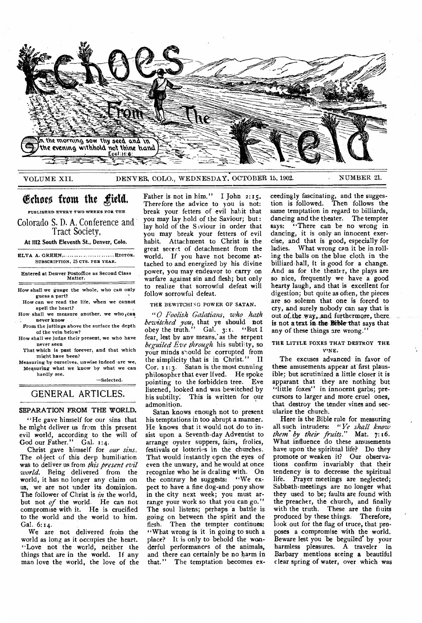

VOLUME XII. DENVER, COLO., WEDNESDAY, OCTOBER 15, 1902. NUMBER 21.

# Echoes from the field.

**PUBLISHED EVERY TWO WEEKS FOR THE** 

Colorado S. D. A. Conference and Tract Society,

At 1112 **South Eleventh St., Denver, Colo.** 

ELVA A. GREEN, .... ............. ..... **EDITOR. SUBSCRIPTION.** 25 **CTS. PER YEAR.** 

Entered at Denver Postoffice as Second Class Matter.

How shall we guage the whole, who can only guess a part?

How can we read the life, when we cannot spell the heart?

How shall we measure another, we who can never know

From the juttings above the surface the depth of the vein below?

How shall we judge their present, we who have never seen

That which is past forever, and that which might have been?

Measuring by ourselves, unwise indeed are we, Measuring what we know by what we can hardly see.

—Selected.

# GENERAL ARTICLES.

## **SEPARATION FROM THE WORLD.**

"He gave himself for our sins that he might deliver us from this present evil world, according to the will of God our Father." Gal. 1:4.

Christ gave himself for *our sins.*  The object of this deep humiliation was to deliver us from *this present evil world.* Being delivered from the world, it has no longer any claim on us, we are not under its dominion. The follower of Christ is *in* the world, but not *of* the world. He can not compromise with it. He is crucified to the world and the world to him. Gal. 6:14.

We are not delivered from the world as long as it occupies the heart. "Love not the world, neither the things that are in the world. If any man love the world, the love of the

Therefore the advice to you is not: break your fetters of evil habit that you may lay hold of the Saviour; but : lay hold of the Saviour in order that you may break your fetters of evil habit. Attachment to Christ is the great secret of detachment from the world. If you have not become attached to and energized by his divine power, you may endeavor to carry on warfare against sin and flesh; but only to realize that sorrowful defeat will follow sorrowful defeat.

THE BEWITCHING POWER OF SATAN.

*"0 Foolish Galatians, who hath bewitched you,* that ye should not obey the truth." Gal.  $3:1$ . "But I fear, lest by any means,' as the serpent *beguiled Eve through* his subti'ty, so your minds should be corrupted from the simplicity that is in. Christ." II Cor. 11:3. Satan is the most cunning philosopher that ever lived. He spoke pointing to the forbidden tree. Eve listened, looked and was bewitched by<br>his subtilty. This is written for our This is written for our admonition.

Satan knows enough not to present his temptations in too abrupt a manner. He knows that it would not do to insist upon a Seventh-day Adventist to arrange oyster suppers, fairs, frolics, festivals or lotteri-s in the churches. That would instantly open the eyes of even the unwary, and he would at once recognize who he is dealing with. On the contrary he suggests: "We expect to have a fine dog-and pony show in the city next week; you must arrange your work so that you can go." The soul listens; perhaps a battle is going on between the spirit and the flesh. Then the tempter continues: "What wrong is it in going to such a place? It is only to behold the wonderful performances of the animals, and there can certainly be no harm in that." The temptation becomes ex-

ceedingly fascinating, and the suggestion is followed. Then follows the same temptation in regard to billiards, dancing and the theater. The tempter says: "There can be no wrong in dancing, it is only an innocent exercise, and that is good, especially for ladies. What wrong can it be in rolling the balls on the blue cloth in the billiard-hall, it is good for a change. And as for the theater, the plays are so nice, frequently we have a good hearty laugh, and that is excellent for digestion; but quite as often, the pieces are so solemn that one is forced to cry, and surely nobody can say that is out of the way, and furthermore, there is not a text in the Bible that says that any of these things are wrong."

## THE LITTLE FOXES THAT DESTROY THE VINE.

The excuses advanced in favor of these amusements appear at first plausible; but scrutinized a little closer it is apparant that they are nothing but "little foxes" in innocent garbs; precursors to larger and more cruel ones, that destroy the tender vines and secularize the church.

Here is the Bible rule for measuring all such intruders: "Ye *shall know them- by their fruits."* Mat. 7: t6. What influence do these amusements have upon the spiritual life? Do they promote or weaken it? Our observations confirm invariably that their tendency is to decrease the spiritual life. Prayer meetings are neglected; Sabbath-meetings are no longer what they used to be; faults are found with the preacher, the church, and finally with the truth. These are the fiuits produced by these things. Therefore, look out for the flag of truce, that proposes a compromise with the world. Beware lest you be beguiled' by your harmless pleasures. A traveler in Barbary mentions seeing **a** beautiful clear spring of water, over which was

# Father is not in him." I John 2:15.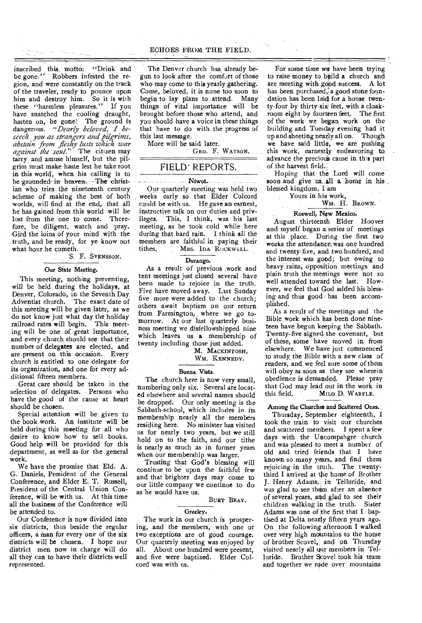inscribed this, motto: "Drink and be gone." Robbers infested the region, and were constantly on the track of the traveler, ready to pounce upon him and destroy him. So it is with these "harmless pleasures." If you have snatched the cooling draught, hasten on, be gone! The ground is dangerous. *"Dearly beloved, I beseech you as strangers and pilgrims, abstain from fleshy lusts which war against the soul."* The citizen may tarry and amuse himself, but the pilgrim must make haste lest he take root in this world, when his calling is to, be grounded-in heaven. The christian who tries the nineteenth century scheme of making the best of both worlds, will find at the end, that all he has gained from this world will be lost from the one to come. Therefore, be diligent, watch and pray. Gird the loins of your mind with the truth, and be ready, for ye know not what hour he cometh.

**Notes and the case** 

## S. F. SVENSSON.

## Our State Meeting.

This meeting, nothing preventing, will be held during the holidays, at Denver, Colorado, in the Seventh Day-Adventist church. The exact date of this meeting will be given later, as we do not know just what day the holiday railroad rates will begin. This meeting will be one of great importance, and every church should see that their number of delegates are elected, and are present on this occasion. Every church is entitled to one delegate for its organization, and one for every additional fifteen members.

Great care should be taken in the selection of delegates. Persons who have the good of the cause at heart should be chosen.

Special attention will be given to the book work. An institute will be held during this meeting for all who desire to know how to sell books. Good help will be provided for this department, as, well as for the general work.

We have the promise that Eld. A. G. Daniels, President of the General Conference, and Elder E. T. Russell, President of the Central Union Conference, will be with us. At this time all the business of the Conference will be attended to.

Our Conference is now divided into six districts, thus beside the regular officers, a man for every one of the six districts will be chosen. I hope our district men now in charge will do all they can to have their districts well represented.

The Denver church has already begun to look after the comfort of those who may come to this yearly gathering. Come, beloved, it is none too soon to begin to lay plans to attend. Many things of vital importance will be brought before those who attend, and you should have a voice in these things that have to do with the progress of this last message.

More will be said later.

GEO. F. WATSON.

# FIELD' REPORTS.

#### 1\liwot.

Our quarterly meeting was held two weeks early so that Elder Colcord could be with us. He gave an earnest, instructive talk on our duties and privileges. This, I think, was his last meeting, as he took cold while here during that hard rain. I think all the members are faithful in paying their tithes. MRS. IDA ROCKWELL.

# Durango.

As a result of previous work and tent meetings just closed several have been made to rejoice in the truth. Five have moved away. Last Sunday five more were added to the church; others await baptism on our return from Farmington, where we go tomorrow. At our last quarterly business meeting we disfellowshipped nine which leaves us a membership of twenty including those just added.

# M. MACKINTOSH,

WM. KENNEDY.

#### Buena Vista.

The church here is now very small, numbering only six. Several are located elsewhere and several names should be dropped. Our only meeting is the Sabbath-school, which includes in its membership nearly all the members residing here. No minister has visited us for nearly two years, but we still hold on to the faith, and our tithe is nearly as much as in former years when our membership was larger.

Trusting that God's blessing will continue to be upon the faithful few and that brighter days may come to our little company we continue to do as he would have us.

## BURT BRAY.

#### Greeley.

The work in our church is prospering, and the members, with one or two exceptions are of good courage. Our quarterly meeting was enjoyed by all. About one hundred were present, and five were baptized. Elder Colcord was with us.

For some time we have been trying to raise money to build a church and are meeting with good success. A lot has been purchased, a good stone foundation has been laid for a house twenty-four by thirty-six feet, with a cloakroom eight by fourteen feet. The first of the week we began work on the building and Tuesday evening had it up and sheeting nearly all on. Though we have said little, we are pushing this work, earnestly endeavoring to advance the precious cause in this part of the harvest field.:

Hoping that the Lord will come soon and give us all a home in his blessed kingdom, I am

> Yours in his work, WM. H. BROWN.

# , Roswell, New Mexico.

August thirteenth Elder Hoover and myself began a series of meetings at this place. During the first two weeks the attendance. was one hundred and twenty-five, and two hundred, and the interest was good; but owing to heavy rains, opposition meetings and plain truth the meetings were not so well attended toward the last. However, we feel that God added his blessing and thus good has been accomplished.

As a result of the meetings and the Bible work which has been done nineteen have begun keeping the Sabbath. Twenty-five signed- the covenant, but of these, some have moved in from elsewhere. We have just commenced to study, the Bible with a new class of readers, and we feel sure some of them will obey as soon as they see wherein obedience is demanded. Please pray that God may lead out in the work in this field. MILO D. WARFLE.

## Among the Churches and Scattered Ones.

Thursday, September eighteenth, I took the train to visit our churches and scattered members. I spent a few days with the Uncompahgre church and was pleased to meet a number of old and tried friends that I have known so many years, and find them rejoicing in the truth. The twentythird I arrived at the home of Brother J. Henry Adams,; in Telluride, and was glad to see them after an absence of several years, and glad to see their children walking in the truth. Sister Adams was one of:the first that I baptised at Delta nearly fifteen years ago. On the following afternoon I walked over very high mountains to the home of brother Scovel, and on Thursday visited nearly all our members in Telluride. Brother Scovel took his team and together we rode over mountains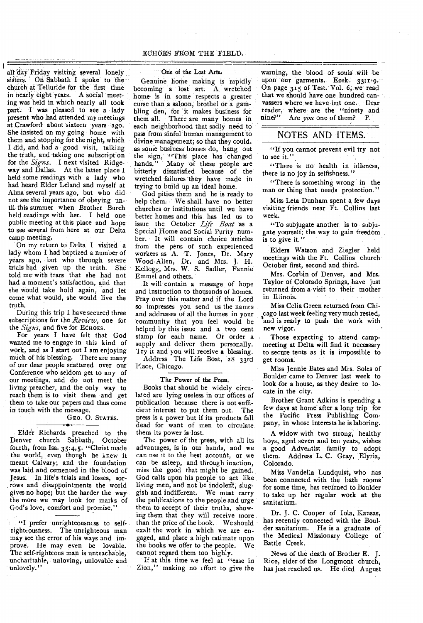# ECHOES FROM THE FIELD.

all' day Friday visiting several lonely sisters. On Sabbath I spoke to the church at Telluride for the first time in nearly eight years. A social meeting was held in which nearly all took part. I was pleased to see a lady present who had attended my meetings at. Crawford about sixteen years ago. She insisted on my going home with them and stopping for the night, which I did, and had a good visit, talking the truth, and taking one subscription for the *Signs.* I next visited Ridgeway and Dallas. At the latter place I held some readings with a lady who had heard Elder Leland and myself at Alma several years ago, but who did not see the importance of obeying until- this summer when Brother Burch held readings with her. I held one public meeting at this place and hope to see several from here at our Delta camp meeting.

On my return to Delta I visited a lady whom I had baptized a number of years ago, but who through severe trials had given up the truth. She told me with tears that she had not had a moment's satisfaction, and that she would take hold again, and let come what would, she would live the truth.

During this trip 'I have secured three subscriptions for the *Review,* one for the Signs, and five for ECHOES.

For years I have felt that God wanted me to engage in this kind of work, and as I start out I am enjoying much of his blessing. There are many of our dear people scattered over our Conference who seldom get to any of our meetings, and do not meet the living preacher, and the only way to reach them is to visit them and get them to take our papers and thus come in touch with the message.

# GEO. 0. STATES.

Elder Richards preached to the Denver church Sabbath, October fourth, from Isa. 35:4,5. "Christ made the world, even though he knew it meant Calvary; and the foundation was laid and cemented in the blood of Jesus. In life's trials and losses, sorrows and disappointments the world gives no hope; but the harder the way the more we may look for marks of God's love, comfort and promise.'

If "I prefer unrighteousness to selfrighteousness. The unrighteous man may see the error of his ways and improve. He may even be lovable. The self-righteous man is unteachable, uncharitable, unloving, unlovable and unlovely."

## One of the Lost Arts.

Genuine home making is rapidly becoming a lost art. A wretched home is in some respects a greater curse than a saloon, brothel or a gambling den, for it makes business for them all. There are many homes in each neighborhood that sadly need to pass from sinful human management to divine management; so that they could, as some business houses do, hang out the sign, "This place has changed<br>hands." Many of these people are Many of these people are bitterly dissatisfied because of the wretched failures they have made in trying to build up an ideal home.

God pities them and he is ready to help them. We shall, have no better churches or institutions until we have better homes and this has led us to issue the October *Life Boat* as a Special Home and Social Purity number. It will contain choice articles from the pens of such experienced workers as A. T. Jones, Dr. Mary Wood-Allen, Dr. and Mrs. J. H. Kellogg, Mrs. W. S. Sadler, Fannie Ernmel and others.

It will contain a message of hope and instruction to thousands of homes. Pray over this matter and if the Lord so impresses you send us the names and addresses of all the homes in your community that you feel would be helped by this issue and a two cent stamp for each name. Or order a supply and deliver them personally. ry it and you will receive a blessing.

Address The Life Boat, 28 33rd Place, Chicago.

#### The Power of the Press.

Books that should be widely circulated are lying useless in our offices of publication because there is not sufficient interest to put them out. The press is a power but if its products fall dead for want of men to circulate them its power is lost.

The power of the press, with all its advantages, is in our hands, and we can use it to the best account, or we can be asleep, and through inaction, miss the good that might be gained. God calls upon his people to act like living men, and not be indolent, sluggish and indifferent. We must carry the publications to the people and urge them to accept of their truths, showing them that they will receive more than the price of the book. We should exalt the work in which we are engaged, and place a high estimate upon the books we offer to the people. We cannot regard them too highly.

If at this time we feel at "ease in Zion," making no effort to give the

warning, the blood of souls will be upon our garments. Ezek. 33:1-9. On page 315 of Test. Vol. 6, we read that we should have one hundred canvassers where we have but one. Dear reader, where are the "ninety and<br>nine?" Are  $\gamma$ ou one of them? P Are *you* one of them? P.

# NOTES AND ITEMS.

"If you cannot prevent evil try not to see it."

"There is no health in idleness, there is no joy in selfishness."

"There is something wrong in the man or thing that needs protection."

Miss Leta Dunham spent a few days visiting friends near Ft. Collins last week.

"To subjugate another is to subjugate yourself: the way to gain freedom is to give it."

Elders Watson and Ziegler held meetings with the Ft. Collins church October first, second and third.

Mrs. Corbin of Denver, and Mrs. Taylor of Colorado Springs, have just returned from a visit to their mother in Illinois.

Miss Celia Green returned from Chicago last week feeling very much rested. and is ready to push the work with new vigor.

Those expecting to attend campmeeting at Delta will find it necessary to secure tents as it is impossible to get rooms.

Miss Jennie Bates and Mrs. Soles of Boulder came to Denver last week to look for a house, as they desire to locate in the city.

Brother Grant Adkins is spending a few days at home after a long trip for the Pacific Press Publishing Company, in whose interests he is laboring.

A widow with two strong, healthy boys, aged seven and ten years, wishes a good Adventist family to adopt them. Address L. C. Gray, Elyria, Colorado.

Miss Vandella Lundquist, who nas been connected with the bath rooms' for some time, has returned to Boulder to take up her regular work at the sanitarium.

Dr. J. C. Cooper of Iola, Kansas, has recently connected with the Boulder sanitarium. He is a graduate of the Medical Missionary College of Battle Creek.

News of the death of Brother E. J. Rice, elder of the Longmont church, has just reached us. He died August